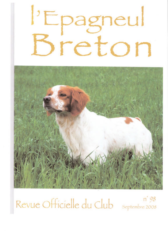

 $n'$  98 Revue Officielle du Club Septembre 2008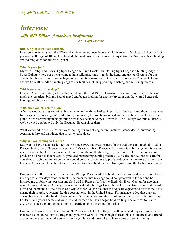## **Interview with Bill Dillon, American bretonnier By Jacque Morrier**

#### **Bill, can you introduce yourself?**

I was born in Michigan in the USA and attained my college degree at a University in Michigan. I shot my first pheasant at the age of 10 and I've hunted pheasant, grouse and woodcock my entire life. So I have been hunting and training dogs for almost 50 years.

#### **What's your job?**

My wife, Kathy, and I own Big Spur Lodge and Plum Creek Kennels. Big Spur Lodge is a hunting lodge in South Dakota where our clients come to hunt wild pheasants. I guide the hunts and use our Bretons for our clients' hunts every day from the beginning of hunting season until the final day. We raise Epagneul Bretons and we train all breeds of hunting dogs at our facility including pointing, flushing and retrieving breeds.

#### **Which were your first dogs?**

I owned American brittanys from childhood until the mid 1980's. However, I became dissatisfied with how much the American brittany had changed and began looking for another breed of dog that would better suit hunting wild birds on foot.

#### **Why have you chosen the EB?**

After we stopped using American brittanys to hunt with we had Springers for a few years and though they were fine dogs, a flushing dog didn't fit into my hunting style. And being raised with a pointing breed I missed the point. After researching many pointing breeds we decided to try a Breton in 1989. Though we train all breeds, we've owned and hunted only the Epagneul Breton since then.

What we found in the EB that we were looking for was strong natural instinct, intense desire, outstanding scenting ability and an athlete that loves what he does.

#### **Why are you coming to France?**

Kathy and I have had a passion for the EB since 1990 and great respect for the traditions and methods used in France. Seeing the difference between the EB's we had from France and the American brittanys in this country made us know that the difference had to lie within the methods being used in France. Those methods were producing a breed that consistently produced outstanding hunting athletes. So we decided we had to learn for ourselves by going to France so that we could be sure to continue to produce dogs with the same quality in our kennels. After much thought I decided I wanted to learn about the field trial system and the traditions in France.

Dominique Guillon came to my home with Phillipe Roca in 2001 to hunt prairie grouse and as we trained with my dogs for a few days after the hunt he commented that my dogs could compete well in France and he inspired me to follow my passion and field trial in France. At first I walked with Henri Guelou for two days while he was judging at Artenay. I was impressed with the dogs I saw, the fact that the trials were held on wild birds and the method of field trials as a whole as well as the fact that the dogs are expected to quarter the fields during their search. A system like this does not exist in the United States. For instance, a dog that quarters during his search of the field in trials in the U.S. is penalized and this is not how it should be for hunting dogs. For two more years I came and watched and learned and then I began field trailing. I have come to France every year since then for about a month to participate in the spring field trials.

Dominique Pozo, a friend that I met in 2002 was very helpful putting up with me and all my questions. I also met Jean Louis, Rene, Patrick, Roger and you, who were all kind enough to treat this old American as a friend and to help me learn what the correct running style is and looks like, to learn some different training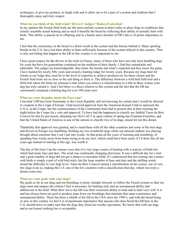techniques, to give me pointers, to laugh with and to allow me to be a part of a system and tradition that I thoroughly enjoy and truly respect.

#### **What do you think of the field trials? Drivers? Judges? Modes of selection?**

In my opinion the French field trials are the most realistic system in place today to place dogs in conditions that closely resemble actual hunting and as such it benefits the breed by reflecting their ability to actually hunt wild birds. This ability is passed on to offspring and as a hunter and a breeder of EB's this is of prime importance to me.

I feel that the consistency in the breed is a direct result to the system and the history behind it. Many sporting breeds in the U.S. have lost their ability to hunt sufficiently because of the system utilized in this country. That is why not letting that happen to the EB in this country is so important to me.

I have great respect for the drivers in the trials in France, many of them who have not only been handling dogs for years but have for generations continued on the tradition of their family. I find this remarkable and admirable. The judges are knowledgeable, they know the breeds and what's expected and they know the game. I have hunted for nearly fifty years and owned a hunting lodge for twenty years. Because my dogs hunt for clients at our lodge they must be to the level of expertise to achieve productivity for those clients and the French field trials are as close to the real thing as there is. The difference between a wild bird field trial and a field trial where the birds are released is that when you achieve a classification or a title in these venues your dog has truly earned it. And I feel there is a direct relation to this system and the fact that the EB has consistently remained a hunting dog for over 100 years now.

#### **What are your thoughts about the Euro cup?**

I traveled 1300 km from Normandy to the Czech Republic still not knowing for certain that I would be allowed to compete in the Coupe d'Europe. I had received approval from the American Kennel Club to represent the U.S.A. at the Coupe, but the commissioners of the Continental trials had to present this at their meeting the night before the Coupe for a vote and approval. To have had the happiness to classify my faithful Tatoo du Bois Courcol for this by previously obtaining our first CACT in open contest of spring has Fountain-Fourches, and that the United States of America is one of the nations to classify two of its dogs, raised for me this dream.

Thankfully that approval was granted, and to stand there with all the other countries and some of the best dogs and drivers in Europe was humbling. Holding my two wonderful dogs while our national anthem was playing brought about emotions that I can't put into words. At that point all the years of learning and stumbling, of spending four weeks away from home trying to do my best, which could have been easier if I'd done this all ten years ago instead of starting at this age, was worth it.

The day of the Euro Cup the courses were that of a very large course of hunting with a scarcity of birds but which had many hare and deer. The wind was continually changing directions. It was a difficult day for a trial and a great number of dogs did not get a chance to encounter birds. It's understood that not coming into contact with birds is simply a part of wild bird trials, but the large number of hare and deer and the shifting winds raised the difficulty to very high level. Tatoo du Bois Courcol earned a classification on his course, one of very few dogs to do so, making the U.S. one of the few countries with a classification that day, which was truly a dream come true.

#### **What are your goals with your dogs?**

My goals as far as our dogs and our breedings is pretty straight forward: to follow the French system so that our dogs meet and surpass the criteria I feel is necessary for hunting style and an unsurpassed ability and athleticism in the field. What drew me to the EB was their consistent ability to hunt and to hunt very well. It is and has always been our goal to produce pups from our breedings that maintain that same consistency and unsurpassed ability. There has been a rebirth of the EB in the USA since the 1990's, and with the breed being so new in this country we feel it is of paramount importance that anyone who does breed the EB here in the U.S. should strive to make sure that the dogs they breed are worthy specimens. We know that with our dogs and at our kennel nothing less is acceptable.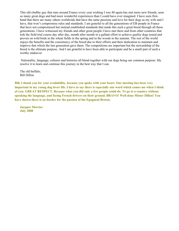This old chubby guy that runs around France every year wishing I was 40 again has met more new friends, seen so many great dogs and had more wonderful experiences than I could have ever imagined. I have seen firsthand that there are many others worldwide that have the same passions and love for their dogs as my wife and I have, that won't compromise rules and standards. I am grateful to all the generations of EB people in France that have not compromised but instead established standards that made this such a great breed through all these generations. I have witnessed my friends and other great people I have met there and from other countries that trek the field trial course day after day, month after month in a gallant effort to achieve quality dogs tested and proven on wild birds in the wheat fields in the spring and in the woods in the autumn. The rest of the world enjoys the benefits and the consistency of the breed due to their efforts and their dedication to maintain and improve that which the last generation gave them. The competitions are important but the stewardship of the breed is the ultimate purpose. And I am grateful to have been able to participate and be a small part of such a worthy endeavor.

 Nationality, language, cultures and histories all blend together with our dogs being our common purpose. My resolve it to learn and continue this journey in the best way that I can.

The old buffalo, Bill Dillon

**Bill, I thank you for your availability, because you spoke with your heart. Our meeting has been very important in my young dog lover life. I have to say there is especially one word which comes me when I think of you: GREAT RESPECT. Because what you did only a few people could do. To go to a country without speaking the language, and facing French drivers on their ground. BRAVO! Well done Mister Dillon! You have shown there is no border for the passion of the Epagneul Breton.** 

**Jacques Morrier July 2008**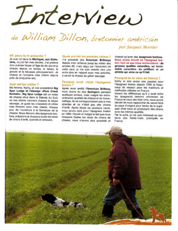

# de William Dillon, bretonnier américain

#### Bill, peux-tu fe présenter ?

Je suis né dans le Michigan, aux Etats-Unis, où j'ai fait mes études. J'ai prélevé mon premier faisan à l'âge de dix ans et je chasse depuis ce temps, le faisan, la grouse et la bécasse principalement. Je chasse et l'entraîne mes chiens depuis près de cinquante ans.

#### Quel est ton métier ?

Ma femme, Kathy, et moi possédons Big Spur Lodge et l'élevage «Plum Creek Kennels». Big Spur Lodge est un relais de chasse situé dans le Dakota du Sud. où nos clients viennent chasser le faisan sauvage. Je guide les chasseurs et utilise mes Bretons pour mes clients, chaque jour, de l'ouverture à la fermeture de la chasse. Nous élevons des épagneuls bretons, préparons et dressons toutes les races de chiens d'arrêt, spaniels et retrievers.

#### Quels ont été tes premiers chiens ?

J'ai possédé des American Brittanys depuis mon enfance jusqu'au milieu des années 80, mais décu par l'évolution de cette race, je me suis orienté vers une autre plus en rapport avec mes activités, à savoir la chasse du gibier sauvage.

#### Pourquoi avoir choisi l'épagneul breton ?

Après avoir arrêté l'American Brittany. nous avons eu des Springers pendant quelques années, mais malgré les extraordinaires qualités de chasse et de broussaillage, ils ne correspondaient pas à mes attentes et ce n'était pas des chiens d'arrêt. Après étude de plusieurs races, nous avons opté pour l'épagneul breton en 1989. Depuis et malgré le fait que nous dressons toutes les races de chiens de chasse, nous n'avons plus possédé et par Jacques Morrier

chassé qu'avec des épagneuls bretons. Nous avons trouvé en l'épagneul breton, tout ce que nous recherchions : de grosses qualités naturelles, un formidable caractère, du pétillant et un athlète qui aime ce qu'il fait.

#### Pourquoi es-tu venu en France ?

Kathy et moi avons une passion pour l'épagneul breton depuis 1990 et beaucoup de respect pour les traditions et méthodes utilisées en France.

Voyant les différences qu'il y avait entre les épagneuls bretons provenant de France et ceux des Etat-Unis, nous avons décidé de nous rapprocher du savoir-faire du pays d'origine pour tenter de le dupliquer chez nous en produisant des chiens avec les mêmes qualités.

Par la suite, je me suis intéressé au système des fields-trials, pratiqués en France.

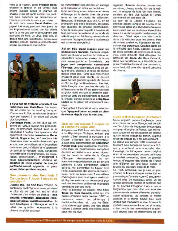venu à la maison, avec Philippe Roca, chasser la grouse et en voyant mes chiens évoluer après la journée de chasse, il me dit qu'ils avaient les qualités pour concourir en fields-trials en France et m'incita à venir y participer. Je vins donc suivre Henri Guélou qui

jugeait à Artenay, pendant deux jours. Je fus impressionné autant par les chiens que i'y ai vu que par le déroulement des parcours de field. Le virus était pris, et depuis trois ans maintenant, après avoir observé, écouté, appris, je présente mes chiens en concours moi-même.



Il n'y a pas de système équivalent aux Field-trials aux Etats-Unis, Par exemple, un chien qui ne court qu'un quart d'heure aux U.S.A. se retrouve désavantagé par rapport à un autre qui courra plus longtemps.

Dominique Pozo, un ami que j'ai rencontrè en 1992, a joué un rôle prépondérant, m'emmenant partout avec lui et répondant à toutes mes questions. J'ai également rencontré Jean-Louis, René, Patrick, Roger et toi, qui furent tous très chaleureux avec le «vieil» Américain que je suis, me considérant et m'accueillant comme un ami, m'aidant et m'apprenant ce qu'était le véritable style, partageant vos méthodes d'entraînement, de préparation, présentation... m'intégrant à vous chaleureusement comme un membre de votre équipe, ce que j'ai particulièrement apprécié et pour lequel j'ai un profond respect.

#### Que penses-tu des Field-trials ? Conducteurs ? Juges ? Modes de sélection ?

D'après moi, les field-trials français de printemps, sont l'épreuve se rapprochant le plus de ce que l'on est en droit d'attendre d'un chien de chasse : nez. autorité, entreprise, adaptation, résistance physique, qualités mentales... Ils sont bénéfiques à l'élevage et sont le reflet des qualités nécessaires à la chasse du gibier sauvage.

se transmettent bien des fois en élevage et le chasseur en retire les bénéfices.

Il me semble que la cohérence en terme d'élevage, est le résultat direct de ce système et de ce mode de sélection. Beaucoup d'éleveurs aux U.S.A. en ne pratiquant pas cette sélection, ont perdu ces qualités de chasse primordiales. C'est la raison pour laquelle il convient de faire perdurer ce système et ce mode de sélection qui ont fait leurs preuves afin de maintenir l'épagneul breton à la place qui est la sienne aujourd'hui.

J'ai un très grand respect pour les conducteurs français. Certains perpétuent en plus une tradition familiale et un savoir-faire depuis des années. Je trouve cela remarquable et formidable. Les juges sont compétents, connaissent l'élevage. Je chasse depuis près de cinquante ans, possède un relais de chasse depuis vingt ans. Parce que mes chiens chassent pour mes clients, ils doivent avoir de très grandes qualités de chasse et être au top continuellement. Les field trials francais sont proches de cela. La différence entre les FT sur gibier sauvage et gibier lâché est que la première discipline est celle qui se rapproche le plus de la chasse, surtout chez nous à Big Spur Lodge où le gibier est uniquement sauvage.

C'est grâce à tout cela et cette sélection que l'épagneul breton est resté un chien de chasse depuis plus de cent ans.

#### Quel est ton ressenti à propos de la Coupe d'Europe 2008.

J'ai parcouru 1300 kms de la Normandie à la République Tchèque, n'étant pas certain d'être autorisé à concourir à la Coupe d'Europe des Continentaux. J'avais reçu l'approbation de l'American Kennel Club, pour représenter les États-Unis mais les commissaires européens devaient en délibérer lors de leur réunion qui se tenait la veille de la Coupe d'Europe. Heureusement, ils ont approuvé ma participation, ce qui est une première à une compétition comme celle-là, me permettant de figurer avec l'élite européenne des chiens et conducteurs. Tenir en laisse mes 2 merveilleux compagnons avec le drapeau américain et l'hymne national ont représenté pour moi des émotions qu'il m'est impossible de traduire par des mots.

Avoir le bonheur de classer mon fidèle Tatoo du Bois Courcol, celui qui m'a permis d'obtenir notre premier CACT en concours ouvert de printemps à Fontaine-Fourches, et... que les Etats-Unis d'Amérique soient une des seules nations à classer un de ses chiens, relève pour moi du rêve.

regarder, observer, écouter, passer des semaines, chaque année, loin de la maison, à essayer de faire de mon mieux. auraient pu être plus faciles si l'avais commencé dix ans plus tôt.

Le jour de la Coupe d'Europe, les champs étaient remplis de lièvres et de chevreuils, dans une abondance très rare à voir, alors que les perdreaux étaient très rares. Le vent chanceait constamment de direction, c'était un jour avec des conditions très difficiles pour les chiens. Peu de chiens avaient eu l'occasion de rencontrer des perdreaux. Cela fait partie de la difficulté des fields, sachant qu'avec de telles densités de chevreuils et de lièvres, cette difficulté était décuplée. Le parcours de Tatoo du Bois Courcol, dans ces conditions là, a été difficile, sa prise d'initiative totale et son parcours a, avant tout, été celui d'un grand parcours de chasse.



#### Quels sont tes buts avec tes chiens ?

Notre objectif, depuis longtemps, pour nos chiens ou notre élevage, est de suivre l'évolution de l'épagneul breton dans son pays d'origine, la France, tout en restant concentré sur les qualités de chasse qui ont fait de l'épagneul breton, le grand chien de chasse gu'il est actuellement. Le début des années 1990 a marqué un tournant pour l'épagneul breton aux U.S. qui y a entamé une «nouvelle vie». L'élevage de l'épagneul breton original étant si nouveau dans ce pays qu'il nous a semblé primordial, dans un premier temps, d'importer des chiens de France afin d'élever sur une base solide et proche du standard idéal de la race.

Le «viell» Américain que je suis, en parcourant la France chaque année tout en pensant que j'avais encore 40 ans, a rencontré plus de nouveaux amis, vu de grands chiens de chasse et de travail que je ne pouvais l'imaginer il n'y a pas si longtemps que cela. J'ai rencontré des personnes de culture différente, de nationalité différente, qui avaient la même passion et le même amour pour leurs chiens que ma femme et moi, trouvant le parfait compromis entre le bon et le beau chien. Je suis très reconnaissant et admiratif envers tous les Bretonniers qui ont